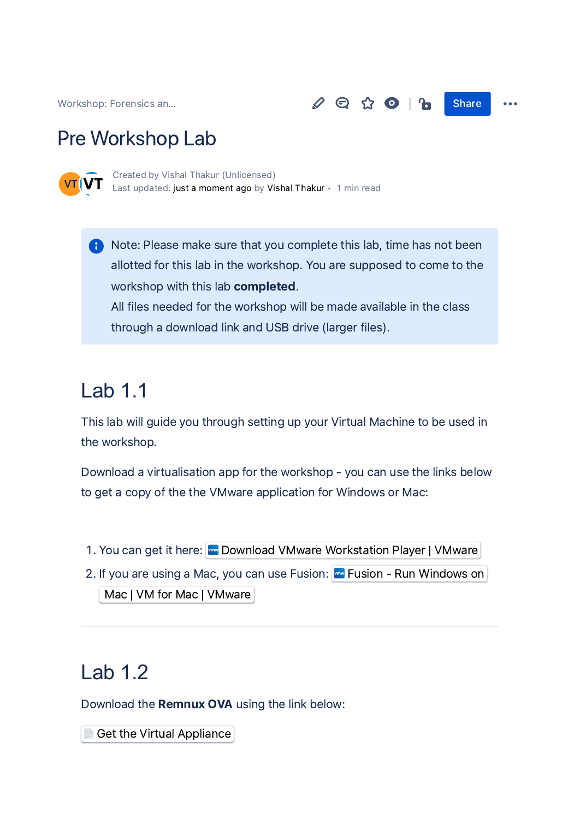[Workshop:](https://hcksyd.atlassian.net/wiki/spaces/WFAMAIL/overview?homepageId=819388) Forensics an...  $\mathscr{S} \oplus \Omega$   $\Box$  Share

### Pre Workshop Lab



Created by Vishal Thakur [\(Unlicensed\)](https://hcksyd.atlassian.net/wiki/people/620451138df9a200718ea172?ref=confluence&src=profilecard) Last updated: just a [moment](https://hcksyd.atlassian.net/wiki/pages/diffpagesbyversion.action?pageId=1736705&selectedPageVersions=7&selectedPageVersions=8) ago by Vishal [Thakur](https://hcksyd.atlassian.net/wiki/people/628ac8fa8026a10068b01ee8?ref=confluence&src=profilecard) • 1 min read

**A** Note: Please make sure that you complete this lab, time has not been allotted for this lab in the workshop. You are supposed to come to the workshop with this lab completed. All files needed for the workshop will be made available in the class through a download link and USB drive (larger files).

## Lab 1.1

This lab will guide you through setting up your Virtual Machine to be used in the workshop.

Download a virtualisation app for the workshop - you can use the links below to get a copy of the the VMware application for Windows or Mac:

- 1. You can get it here: was Download VMware [Workstation](https://www.vmware.com/products/workstation-player/workstation-player-evaluation.html) Player | VMware
- 2. If you are using a Mac, you can use Fusion: **Fusion Run [Windows](https://www.vmware.com/products/fusion.html) on** Mac | VM for Mac | VMware

#### Lab 1.2

Download the **Remnux OVA** using the link below:

Get the Virtual [Appliance](https://docs.remnux.org/install-distro/get-virtual-appliance)